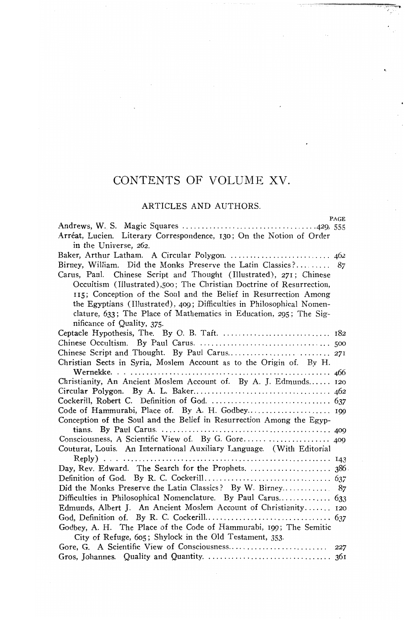# CONTENTS OF VOLUME XV.

### ARTICLES AND AUTHORS.

| PAGE                                                                   |
|------------------------------------------------------------------------|
|                                                                        |
| Arréat, Lucien. Literary Correspondence, 130; On the Notion of Order   |
| in the Universe, 262.                                                  |
|                                                                        |
| Birney, William. Did the Monks Preserve the Latin Classics?<br>87      |
| Carus, Paul. Chinese Script and Thought (Illustrated), 271; Chinese    |
| Occultism (Illustrated),500; The Christian Doctrine of Resurrection,   |
| 115; Conception of the Soul and the Belief in Resurrection Among       |
| the Egyptians (Illustrated), 409; Difficulties in Philosophical Nomen- |
| clature, 633; The Place of Mathematics in Education, 295; The Sig-     |
| nificance of Quality, 375.                                             |
|                                                                        |
|                                                                        |
|                                                                        |
| Christian Sects in Syria, Moslem Account as to the Origin of. By H.    |
|                                                                        |
| Christianity, An Ancient Moslem Account of. By A. J. Edmunds 120       |
|                                                                        |
|                                                                        |
|                                                                        |
| Conception of the Soul and the Belief in Resurrection Among the Egyp-  |
|                                                                        |
|                                                                        |
| Couturat, Louis. An International Auxiliary Language. (With Editorial  |
|                                                                        |
|                                                                        |
|                                                                        |
| Did the Monks Preserve the Latin Classics? By W. Birney 87             |
|                                                                        |
| Edmunds, Albert J. An Ancient Moslem Account of Christianity 120       |
|                                                                        |
| Godbey, A. H. The Place of the Code of Hammurabi, 199; The Semitic     |
| City of Refuge, 605; Shylock in the Old Testament, 353.                |
|                                                                        |
|                                                                        |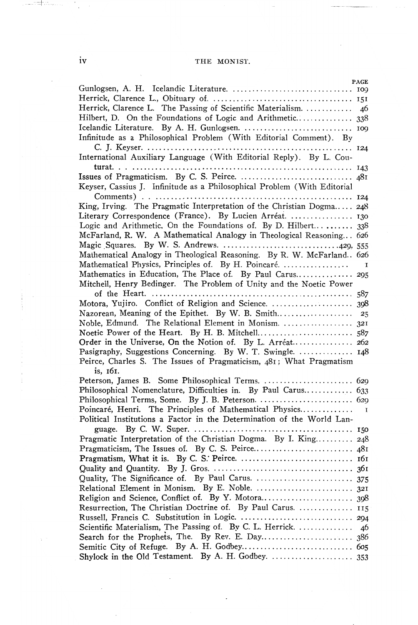# iv THE MONIST.

|                                                                          | <b>PAGE</b>  |
|--------------------------------------------------------------------------|--------------|
|                                                                          |              |
| Herrick, Clarence L. The Passing of Scientific Materialism.              | 46           |
| Hilbert, D. On the Foundations of Logic and Arithmetic 338               |              |
|                                                                          |              |
| Infinitude as a Philosophical Problem (With Editorial Comment). By       |              |
|                                                                          |              |
| International Auxiliary Language (With Editorial Reply). By L. Cou-      |              |
|                                                                          |              |
|                                                                          |              |
| Keyser, Cassius J. Infinitude as a Philosophical Problem (With Editorial |              |
| King, Irving. The Pragmatic Interpretation of the Christian Dogma 248    |              |
| Literary Correspondence (France). By Lucien Arréat.                      |              |
|                                                                          |              |
| McFarland, R. W. A Mathematical Analogy in Theological Reasoning 626     |              |
| Magic Squares. By W. S. Andrews. 429, 555                                |              |
| Mathematical Analogy in Theological Reasoning. By R. W. McFarland 626    |              |
|                                                                          |              |
|                                                                          |              |
| Mitchell, Henry Bedinger. The Problem of Unity and the Noetic Power      |              |
|                                                                          |              |
| Motora, Yujiro. Conflict of Religion and Science.  398                   |              |
|                                                                          |              |
|                                                                          |              |
|                                                                          |              |
| Order in the Universe, On the Notion of. By L. Arréat 262                |              |
| Pasigraphy, Suggestions Concerning. By W. T. Swingle.  148               |              |
| Peirce, Charles S. The Issues of Pragmaticism, 481; What Pragmatism      |              |
| is. 161.                                                                 |              |
|                                                                          |              |
| Philosophical Nomenclature, Difficulties in. By Paul Carus 633           |              |
| Poincaré, Henri. The Principles of Mathematical Physics                  | $\mathbf{I}$ |
| Political Institutions a Factor in the Determination of the World Lan-   |              |
|                                                                          |              |
| Pragmatic Interpretation of the Christian Dogma. By I. King 248          |              |
|                                                                          |              |
|                                                                          |              |
|                                                                          |              |
|                                                                          |              |
|                                                                          |              |
|                                                                          |              |
| Resurrection, The Christian Doctrine of. By Paul Carus.  115             |              |
|                                                                          |              |
| Scientific Materialism, The Passing of. By C. L. Herrick.  46            |              |
|                                                                          |              |
|                                                                          |              |
|                                                                          |              |

 $\label{eq:3.1} \begin{array}{lllllllllllll} \text{where} \; \mathcal{C} & \text{where} \; \mathcal{C} & \text{where} \; \mathcal{C} & \text{where} \; \mathcal{C} & \text{where} \; \mathcal{C} & \text{where} \; \mathcal{C} & \text{where} \; \mathcal{C} & \text{where} \; \mathcal{C} & \text{where} \; \mathcal{C} & \text{where} \; \mathcal{C} & \text{where} \; \mathcal{C} & \text{where} \; \mathcal{C} & \text{where} \; \mathcal{C} & \text{where} \; \mathcal{C} & \text$ 

 $-1.1$ 

 $\cdot$ 

 $\bar{z}$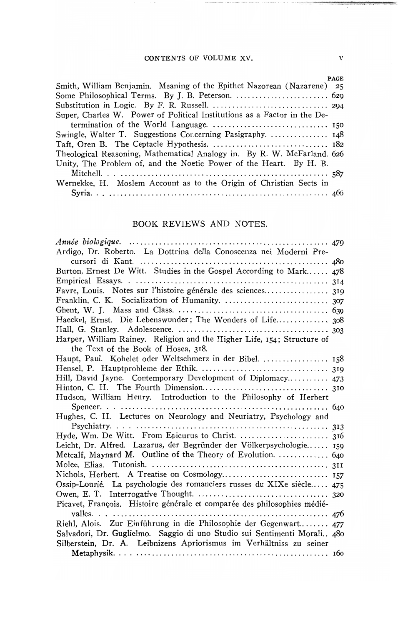#### CONTENTS OF VOLUME XV.

| <b>PAGE</b>                                                               |
|---------------------------------------------------------------------------|
| Smith, William Benjamin. Meaning of the Epithet Nazorean (Nazarene)<br>25 |
|                                                                           |
|                                                                           |
| Super, Charles W. Power of Political Institutions as a Factor in the De-  |
|                                                                           |
|                                                                           |
|                                                                           |
| Theological Reasoning, Mathematical Analogy in. By R. W. McFarland. 626   |
| Unity, The Problem of, and the Noetic Power of the Heart. By H. B.        |
|                                                                           |
| Wernekke, H. Moslem Account as to the Origin of Christian Sects in        |
|                                                                           |

# BOOK REVIEWS AND NOTES.

| Ardigo, Dr. Roberto. La Dottrina della Conoscenza nei Moderni Pre-       |
|--------------------------------------------------------------------------|
|                                                                          |
| Burton, Ernest De Witt. Studies in the Gospel According to Mark 478      |
|                                                                          |
| Favre, Louis. Notes sur l'histoire générale des sciences 319             |
|                                                                          |
|                                                                          |
| Haeckel, Ernst. Die Lebenswunder; The Wonders of Life 308                |
|                                                                          |
| Harper, William Rainey. Religion and the Higher Life, 154; Structure of  |
| the Text of the Book of Hosea, 318.                                      |
| Haupt, Paul. Kohelet oder Weltschmerz in der Bibel.  158                 |
|                                                                          |
| Hill, David Jayne. Contemporary Development of Diplomacy 473             |
|                                                                          |
| Hudson, William Henry. Introduction to the Philosophy of Herbert         |
|                                                                          |
| Hughes, C. H. Lectures on Neurology and Neuriatry, Psychology and        |
|                                                                          |
|                                                                          |
| Leicht, Dr. Alfred. Lazarus, der Begründer der Völkerpsychologie 159     |
| Metcalf, Maynard M. Outline of the Theory of Evolution.  640             |
|                                                                          |
|                                                                          |
| Ossip-Lourié. La psychologie des romanciers russes du XIXe siècle 475    |
|                                                                          |
| Picavet, François. Histoire générale et comparée des philosophies médié- |
|                                                                          |
| Riehl, Alois. Zur Einführung in die Philosophie der Gegenwart 477        |
| Salvadori, Dr. Guglielmo. Saggio di uno Studio sui Sentimenti Morali 480 |
| Silberstein, Dr. A. Leibnizens Apriorismus im Verhältniss zu seiner      |
|                                                                          |